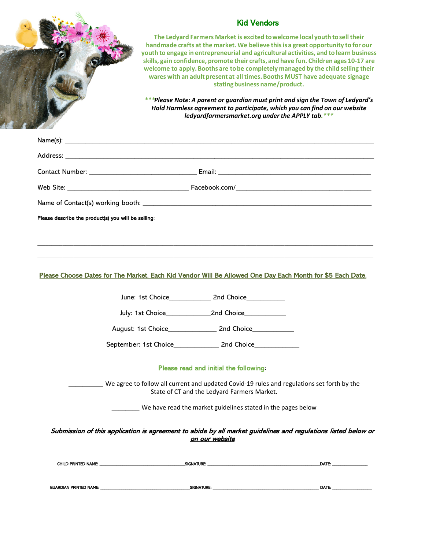|  | <b>Kid Vendors</b><br>The Ledyard Farmers Market is excited to welcome local youth to sell their<br>handmade crafts at the market. We believe this is a great opportunity to for our<br>youth to engage in entrepreneurial and agricultural activities, and to learn business<br>skills, gain confidence, promote their crafts, and have fun. Children ages 10-17 are<br>welcome to apply. Booths are to be completely managed by the child selling their<br>wares with an adult present at all times. Booths MUST have adequate signage<br>stating business name/product.<br>***Please Note: A parent or quardian must print and sign the Town of Ledyard's<br>Hold Harmless agreement to participate, which you can find on our website<br>ledyardfarmersmarket.org under the APPLY tab.*** |  |  |  |
|--|-----------------------------------------------------------------------------------------------------------------------------------------------------------------------------------------------------------------------------------------------------------------------------------------------------------------------------------------------------------------------------------------------------------------------------------------------------------------------------------------------------------------------------------------------------------------------------------------------------------------------------------------------------------------------------------------------------------------------------------------------------------------------------------------------|--|--|--|
|  |                                                                                                                                                                                                                                                                                                                                                                                                                                                                                                                                                                                                                                                                                                                                                                                               |  |  |  |
|  |                                                                                                                                                                                                                                                                                                                                                                                                                                                                                                                                                                                                                                                                                                                                                                                               |  |  |  |
|  |                                                                                                                                                                                                                                                                                                                                                                                                                                                                                                                                                                                                                                                                                                                                                                                               |  |  |  |
|  |                                                                                                                                                                                                                                                                                                                                                                                                                                                                                                                                                                                                                                                                                                                                                                                               |  |  |  |
|  |                                                                                                                                                                                                                                                                                                                                                                                                                                                                                                                                                                                                                                                                                                                                                                                               |  |  |  |
|  | Please Choose Dates for The Market. Each Kid Vendor Will Be Allowed One Day Each Month for \$5 Each Date.                                                                                                                                                                                                                                                                                                                                                                                                                                                                                                                                                                                                                                                                                     |  |  |  |
|  | June: 1st Choice 2nd Choice                                                                                                                                                                                                                                                                                                                                                                                                                                                                                                                                                                                                                                                                                                                                                                   |  |  |  |
|  |                                                                                                                                                                                                                                                                                                                                                                                                                                                                                                                                                                                                                                                                                                                                                                                               |  |  |  |
|  |                                                                                                                                                                                                                                                                                                                                                                                                                                                                                                                                                                                                                                                                                                                                                                                               |  |  |  |
|  |                                                                                                                                                                                                                                                                                                                                                                                                                                                                                                                                                                                                                                                                                                                                                                                               |  |  |  |
|  | Please read and initial the following:                                                                                                                                                                                                                                                                                                                                                                                                                                                                                                                                                                                                                                                                                                                                                        |  |  |  |
|  | We agree to follow all current and updated Covid-19 rules and regulations set forth by the<br>State of CT and the Ledyard Farmers Market.                                                                                                                                                                                                                                                                                                                                                                                                                                                                                                                                                                                                                                                     |  |  |  |
|  | We have read the market guidelines stated in the pages below                                                                                                                                                                                                                                                                                                                                                                                                                                                                                                                                                                                                                                                                                                                                  |  |  |  |
|  | Submission of this application is agreement to abide by all market guidelines and regulations listed below or<br>on our website                                                                                                                                                                                                                                                                                                                                                                                                                                                                                                                                                                                                                                                               |  |  |  |
|  |                                                                                                                                                                                                                                                                                                                                                                                                                                                                                                                                                                                                                                                                                                                                                                                               |  |  |  |
|  |                                                                                                                                                                                                                                                                                                                                                                                                                                                                                                                                                                                                                                                                                                                                                                                               |  |  |  |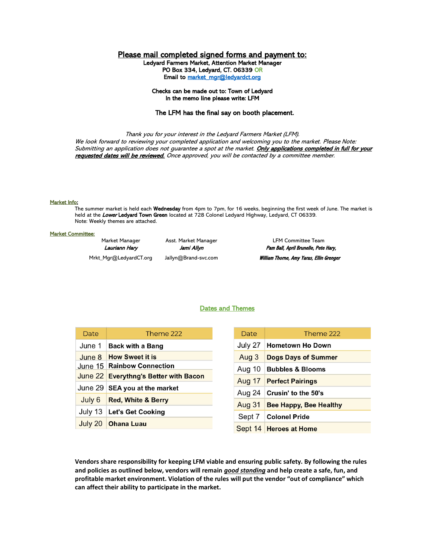# Please mail completed signed forms and payment to:

Ledyard Farmers Market, Attention Market Manager PO Box 334, Ledyard, CT. 06339 OR Email to market\_mgr@ledyardct.org

## Checks can be made out to: Town of Ledyard In the memo line please write: LFM

## The LFM has the final say on booth placement.

Thank you for your interest in the Ledyard Farmers Market (LFM). We look forward to reviewing your completed application and welcoming you to the market. Please Note: Submitting an application does not guarantee a spot at the market. Only applications completed in full for your requested dates will be reviewed. Once approved, you will be contacted by a committee member.

### Market Info:

The summer market is held each **Wednesday** from 4pm to 7pm, for 16 weeks, beginning the first week of June. The market is held at the Lower Ledyard Town Green located at 728 Colonel Ledyard Highway, Ledyard, CT 06339. Note: Weekly themes are attached.

#### Market Committee:

Market Manager Asst. Market Manager LFM Committee Team Lauriann Hary Jami Allyn Pam Ball, April Brunelle, Pete Hary, Mrkt\_Mgr@LedyardCT.org Jallyn@Brand-svc.com William Thorne, Amy Yaras, Ellin Grenger

## Dates and Themes

| Date                         | Theme 222                             | Date          | Theme 222                     |
|------------------------------|---------------------------------------|---------------|-------------------------------|
| June 1                       | <b>Back with a Bang</b>               | July 27       | <b>Hometown Ho Down</b>       |
| June 8                       | <b>How Sweet it is</b>                | Aug 3         | <b>Dogs Days of Summer</b>    |
|                              | June 15   Rainbow Connection          | Aug 10        | <b>Bubbles &amp; Blooms</b>   |
|                              | June 22 Everythng's Better with Bacon | <b>Aug 17</b> | <b>Perfect Pairings</b>       |
|                              | June 29 SEA you at the market         | Aug 24        | Crusin' to the 50's           |
| July 6                       | <b>Red, White &amp; Berry</b>         | <b>Aug 31</b> | <b>Bee Happy, Bee Healthy</b> |
| July 13                      | <b>Let's Get Cooking</b>              |               |                               |
|                              |                                       | Sept 7        | <b>Colonel Pride</b>          |
| July 20<br><b>Ohana Luau</b> |                                       | Sept $14$     | <b>Heroes at Home</b>         |

**Vendors share responsibility for keeping LFM viable and ensuring public safety. By following the rules and policies as outlined below, vendors will remain** *good standing* **and help create a safe, fun, and profitable market environment. Violation of the rules will put the vendor "out of compliance" which can affect their ability to participate in the market.**